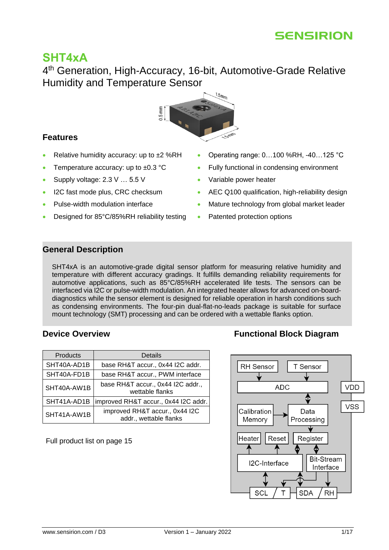

# **SHT4xA**

4<sup>th</sup> Generation, High-Accuracy, 16-bit, Automotive-Grade Relative Humidity and Temperature Sensor



### <span id="page-0-0"></span>**Features**

- Relative humidity accuracy: up to  $\pm 2$  %RH
- Temperature accuracy: up to  $\pm 0.3$  °C
- Supply voltage: 2.3 V ... 5.5 V
- I2C fast mode plus, CRC checksum
- Pulse-width modulation interface
- Designed for 85°C/85%RH reliability testing
- Operating range: 0…100 %RH, -40…125 °C
- Fully functional in condensing environment
- Variable power heater
- AEC Q100 qualification, high-reliability design
- Mature technology from global market leader
- Patented protection options

### <span id="page-0-1"></span>**General Description**

SHT4xA is an automotive-grade digital sensor platform for measuring relative humidity and temperature with different accuracy gradings. It fulfills demanding reliability requirements for automotive applications, such as 85°C/85%RH accelerated life tests. The sensors can be interfaced via I2C or pulse-width modulation. An integrated heater allows for advanced on-boarddiagnostics while the sensor element is designed for reliable operation in harsh conditions such as condensing environments. The four-pin dual-flat-no-leads package is suitable for surface mount technology (SMT) processing and can be ordered with a wettable flanks option.

| Products    | Details                                                  |
|-------------|----------------------------------------------------------|
| SHT40A-AD1B | base RH&T accur., 0x44 I2C addr.                         |
| SHT40A-FD1B | base RH&T accur., PWM interface                          |
| SHT40A-AW1B | base RH&T accur., 0x44 I2C addr.,<br>wettable flanks     |
| SHT41A-AD1B | improved RH&T accur., 0x44 I2C addr.                     |
| SHT41A-AW1B | improved RH&T accur., 0x44 I2C<br>addr., wettable flanks |

Full product list on page [15](#page-14-0)

# <span id="page-0-2"></span>**[Device Overview](#page-14-0) <b>Functional Block Diagram**

<span id="page-0-3"></span>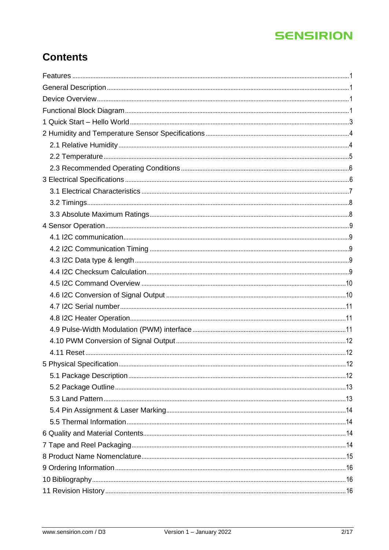# **Contents**

| 12 |
|----|
|    |
|    |
|    |
|    |
|    |
|    |
|    |
|    |
|    |
|    |
|    |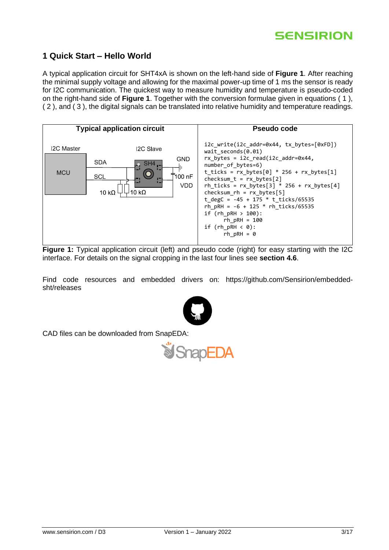# <span id="page-2-0"></span>**1 Quick Start – Hello World**

A typical application circuit for SHT4xA is shown on the left-hand side of **[Figure 1](#page-2-1)**. After reaching the minimal supply voltage and allowing for the maximal power-up time of 1 ms the sensor is ready for I2C communication. The quickest way to measure humidity and temperature is pseudo-coded on the right-hand side of **[Figure 1](#page-2-1)**. Together with the conversion formulae given in equations [\( 1](#page-9-2) ), [\( 2](#page-9-3) ), and [\( 3](#page-9-4) ), the digital signals can be translated into relative humidity and temperature readings.



<span id="page-2-1"></span>**Figure 1:** Typical application circuit (left) and pseudo code (right) for easy starting with the I2C interface. For details on the signal cropping in the last four lines see **section [4.6](#page-9-1)**.

Find code resources and embedded drivers on: https://github.com/Sensirion/embeddedsht/releases



CAD files can be downloaded from SnapEDA:

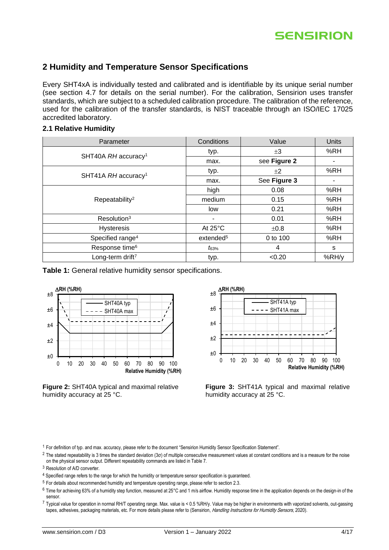

# <span id="page-3-0"></span>**2 Humidity and Temperature Sensor Specifications**

Every SHT4xA is individually tested and calibrated and is identifiable by its unique serial number (see section [4.7](#page-10-0) for details on the serial number). For the calibration, Sensirion uses transfer standards, which are subject to a scheduled calibration procedure. The calibration of the reference, used for the calibration of the transfer standards, is NIST traceable through an ISO/IEC 17025 accredited laboratory.

#### <span id="page-3-1"></span>**2.1 Relative Humidity**

<span id="page-3-5"></span><span id="page-3-3"></span>

| Parameter                       | Conditions            | Value        | <b>Units</b> |
|---------------------------------|-----------------------|--------------|--------------|
|                                 | typ.                  | $\pm 3$      | %RH          |
| SHT40A RH accuracy <sup>1</sup> | max.                  | see Figure 2 |              |
| SHT41A RH accuracy <sup>1</sup> | typ.                  | ±2           | %RH          |
|                                 | max.                  | See Figure 3 |              |
|                                 | high                  | 0.08         | %RH          |
| Repeatability <sup>2</sup>      | medium                | 0.15         | %RH          |
|                                 | low                   | 0.21         | %RH          |
| Resolution <sup>3</sup>         | ۰                     | 0.01         | %RH          |
| <b>Hysteresis</b>               | At $25^{\circ}$ C     | ±0.8         | %RH          |
| Specified range <sup>4</sup>    | extended <sup>5</sup> | 0 to 100     | %RH          |
| Response time <sup>6</sup>      | $t_{63\%}$            | 4            | s            |
| Long-term drift <sup>7</sup>    | typ.                  | < 0.20       | %RH/y        |

<span id="page-3-8"></span>**Table 1:** General relative humidity sensor specifications.



<span id="page-3-2"></span>**Figure 2:** SHT40A typical and maximal relative humidity accuracy at 25 °C.

<span id="page-3-7"></span><span id="page-3-6"></span>

<span id="page-3-4"></span>**Figure 3:** SHT41A typical and maximal relative humidity accuracy at 25 °C.

<sup>1</sup> For definition of typ. and max. accuracy, please refer to the document "Sensirion Humidity Sensor Specification Statement".

- <sup>2</sup> The stated repeatability is 3 times the standard deviation (3 $\sigma$ ) of multiple consecutive measurement values at constant conditions and is a measure for the noise on the physical sensor output. Different repeatability commands are listed in [Table 7.](#page-9-5)
- <sup>3</sup> Resolution of A/D converter.
- <sup>4</sup> Specified range refers to the range for which the humidity or temperature sensor specification is guaranteed.
- <sup>5</sup> For details about recommended humidity and temperature operating range, please refer to section [2.3.](#page-5-0)
- $6$  Time for achieving 63% of a humidity step function, measured at 25°C and 1 m/s airflow. Humidity response time in the application depends on the design-in of the sensor.

<sup>7</sup> Typical value for operation in normal RH/T operating range. Max. value is < 0.5 %RH/y. Value may be higher in environments with vaporized solvents, out-gassing tapes, adhesives, packaging materials, etc. For more details please refer to (Sensirion, Handling Instructions for Humidity Sensors, 2020).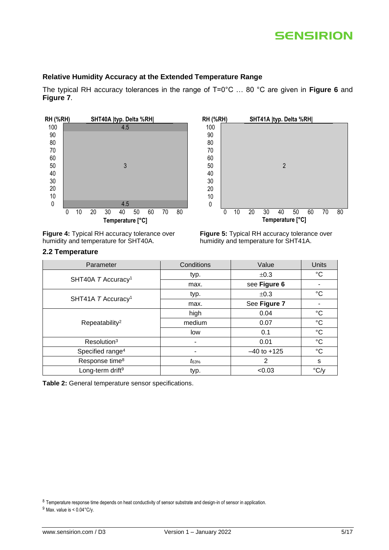#### **Relative Humidity Accuracy at the Extended Temperature Range**

The typical RH accuracy tolerances in the range of T=0°C … 80 °C are given in **[Figure 6](#page-5-2)** and **[Figure 7](#page-5-3)**.



**Figure 4:** Typical RH accuracy tolerance over humidity and temperature for SHT40A.

#### <span id="page-4-0"></span>**2.2 Temperature**



**Figure 5:** Typical RH accuracy tolerance over humidity and temperature for SHT41A.

| Parameter                      | Conditions | Value           | Units              |
|--------------------------------|------------|-----------------|--------------------|
| SHT40A T Accuracy <sup>1</sup> | typ.       | ±0.3            | °C                 |
|                                | max.       | see Figure 6    |                    |
|                                | typ.       | ±0.3            | $^{\circ}C$        |
| SHT41A T Accuracy <sup>1</sup> | max.       | See Figure 7    |                    |
|                                | high       | 0.04            | $^{\circ}C$        |
| Repeatability <sup>2</sup>     | medium     | 0.07            | $^{\circ}C$        |
|                                | low        | 0.1             | $^{\circ}C$        |
| Resolution <sup>3</sup>        |            | 0.01            | $^{\circ}C$        |
| Specified range <sup>4</sup>   |            | $-40$ to $+125$ | $^{\circ}C$        |
| Response time <sup>8</sup>     | $t_{63\%}$ | 2               | s                  |
| Long-term drift <sup>9</sup>   | typ.       | < 0.03          | $\rm ^{\circ}$ C/y |

**Table 2:** General temperature sensor specifications.

8 Temperature response time depends on heat conductivity of sensor substrate and design-in of sensor in application.

 $9$  Max. value is <  $0.04$ °C/y.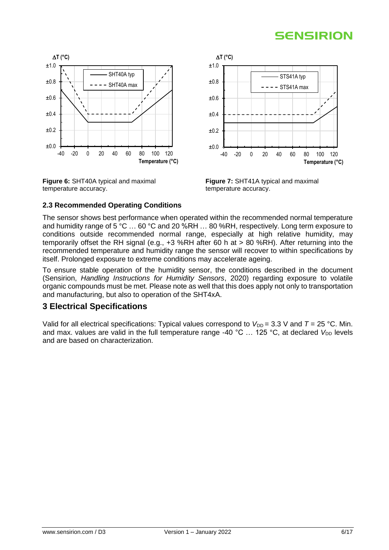

<span id="page-5-2"></span>**Figure 6:** SHT40A typical and maximal temperature accuracy.



<span id="page-5-3"></span>**Figure 7:** SHT41A typical and maximal temperature accuracy.

### <span id="page-5-0"></span>**2.3 Recommended Operating Conditions**

The sensor shows best performance when operated within the recommended normal temperature and humidity range of 5 °C … 60 °C and 20 %RH … 80 %RH, respectively. Long term exposure to conditions outside recommended normal range, especially at high relative humidity, may temporarily offset the RH signal (e.g., +3 %RH after 60 h at > 80 %RH). After returning into the recommended temperature and humidity range the sensor will recover to within specifications by itself. Prolonged exposure to extreme conditions may accelerate ageing.

To ensure stable operation of the humidity sensor, the conditions described in the document (Sensirion, *Handling Instructions for Humidity Sensors*, 2020) regarding exposure to volatile organic compounds must be met. Please note as well that this does apply not only to transportation and manufacturing, but also to operation of the SHT4xA.

### <span id="page-5-1"></span>**3 Electrical Specifications**

Valid for all electrical specifications: Typical values correspond to  $V_{\text{DD}} = 3.3$  V and  $T = 25$  °C. Min. and max. values are valid in the full temperature range -40  $^{\circ}$ C ... 125  $^{\circ}$ C, at declared  $V_{DD}$  levels and are based on characterization.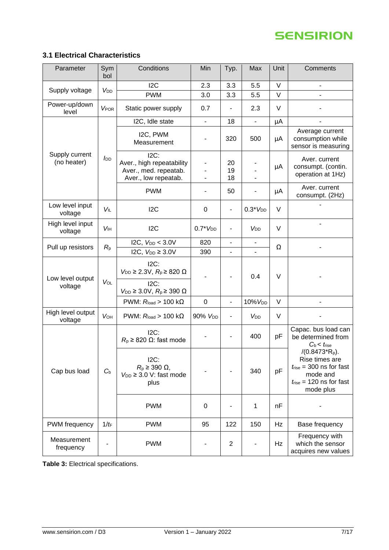# <span id="page-6-0"></span>**3.1 Electrical Characteristics**

| Parameter                     | Sym<br>bol             | Conditions                                                                            | Min                                                                          | Typ.                         | Max                      | Unit   | Comments                                                      |                                                                                                                                           |
|-------------------------------|------------------------|---------------------------------------------------------------------------------------|------------------------------------------------------------------------------|------------------------------|--------------------------|--------|---------------------------------------------------------------|-------------------------------------------------------------------------------------------------------------------------------------------|
|                               |                        | 12C                                                                                   | 2.3                                                                          | 3.3                          | 5.5                      | $\vee$ | ÷,                                                            |                                                                                                                                           |
| Supply voltage                | V <sub>DD</sub>        | <b>PWM</b>                                                                            | 3.0                                                                          | 3.3                          | 5.5                      | V      | L                                                             |                                                                                                                                           |
| Power-up/down<br>level        | <b>VPOR</b>            | Static power supply                                                                   | 0.7                                                                          | $\overline{\phantom{0}}$     | 2.3                      | $\vee$ |                                                               |                                                                                                                                           |
|                               |                        | I2C, Idle state                                                                       | $\overline{\phantom{0}}$                                                     | 18                           |                          | μA     |                                                               |                                                                                                                                           |
|                               |                        | I2C, PWM<br>Measurement                                                               | -                                                                            | 320                          | 500                      | μA     | Average current<br>consumption while<br>sensor is measuring   |                                                                                                                                           |
| Supply current<br>(no heater) | <b>I</b> <sub>DD</sub> | $12C$ :<br>Aver., high repeatability<br>Aver., med. repeatab.<br>Aver., low repeatab. | L,                                                                           | 20<br>19<br>18               | $\blacksquare$           | μA     | Aver. current<br>consumpt. (contin.<br>operation at 1Hz)      |                                                                                                                                           |
|                               |                        | <b>PWM</b>                                                                            |                                                                              | 50                           |                          | μA     | Aver. current<br>consumpt. (2Hz)                              |                                                                                                                                           |
| Low level input<br>voltage    | <b>VIL</b>             | 12C                                                                                   | 0                                                                            | $\overline{\phantom{0}}$     | $0.3*VDD$                | V      |                                                               |                                                                                                                                           |
| High level input<br>voltage   | <b>V<sub>IH</sub></b>  | 12C                                                                                   | $0.7*VDD$                                                                    | $\qquad \qquad \blacksquare$ | V <sub>DD</sub>          | V      |                                                               |                                                                                                                                           |
| Pull up resistors             |                        | I2C, $V_{DD} < 3.0V$                                                                  | 820                                                                          |                              | $\overline{\phantom{a}}$ | Ω      |                                                               |                                                                                                                                           |
|                               | $R_{p}$                | I2C, $V_{DD} \geq 3.0V$                                                               | 390                                                                          | ÷,                           | ÷.                       |        |                                                               |                                                                                                                                           |
| Low level output              | VOL                    | $ 2C$ :<br>$V_{DD} \geq 2.3V$ , $R_p \geq 820 \Omega$                                 | 0.4                                                                          |                              |                          | $\vee$ |                                                               |                                                                                                                                           |
| voltage                       |                        | $12C$ :<br>$V_{\text{DD}} \geq 3.0 \text{V}, R_{\text{p}} \geq 390 \Omega$            |                                                                              |                              |                          |        |                                                               |                                                                                                                                           |
|                               |                        | PWM: $R_{load} > 100 k\Omega$                                                         | $\mathbf 0$                                                                  | ÷,                           | 10% V <sub>DD</sub>      | $\vee$ |                                                               |                                                                                                                                           |
| High level output<br>voltage  | <b>VOH</b>             | PWM: $R_{load} > 100 k\Omega$                                                         | 90% V <sub>DD</sub>                                                          | $\overline{\phantom{0}}$     | V <sub>DD</sub>          | $\vee$ |                                                               |                                                                                                                                           |
|                               |                        | $12C$ :<br>$R_p \geq 820 \Omega$ : fast mode                                          |                                                                              |                              | 400                      | pF     | Capac. bus load can<br>be determined from<br>$C_b < t_{rise}$ |                                                                                                                                           |
| Cap bus load                  | $C_{b}$                |                                                                                       | $12C$ :<br>$R_p \geq 390 \Omega$ ,<br>$V_{DD} \geq 3.0$ V: fast mode<br>plus |                              |                          | 340    | pF                                                            | $/(0.8473*Rp)$ .<br>Rise times are<br>$t_{\text{rise}}$ = 300 ns for fast<br>mode and<br>$t_{\text{rise}}$ = 120 ns for fast<br>mode plus |
|                               |                        | <b>PWM</b>                                                                            | $\mathbf 0$                                                                  |                              | 1                        | nF     |                                                               |                                                                                                                                           |
| PWM frequency                 | $1/t_F$                | <b>PWM</b>                                                                            | 95                                                                           | 122                          | 150                      | Hz     | Base frequency                                                |                                                                                                                                           |
| Measurement<br>frequency      |                        | <b>PWM</b>                                                                            |                                                                              | $\mathbf{2}$                 |                          | Hz     | Frequency with<br>which the sensor<br>acquires new values     |                                                                                                                                           |

<span id="page-6-1"></span>**Table 3:** Electrical specifications.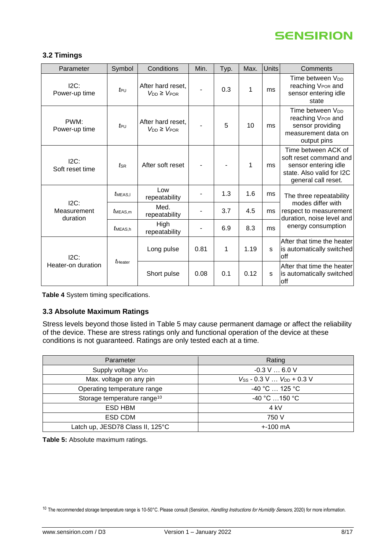

#### <span id="page-7-0"></span>**3.2 Timings**

| Parameter                          | Symbol              | Conditions                                 | Min.        | Typ. | Max. | <b>Units</b> | Comments                                                                                                                  |
|------------------------------------|---------------------|--------------------------------------------|-------------|------|------|--------------|---------------------------------------------------------------------------------------------------------------------------|
| $I2C$ :<br>Power-up time           | $t_{\text{PU}}$     | After hard reset,<br>$V_{DD} \geq V_{POR}$ |             | 0.3  | 1    | ms           | Time between V <sub>DD</sub><br>reaching VPOR and<br>sensor entering idle<br>state                                        |
| PWM:<br>Power-up time              | $t_{\text{PU}}$     | After hard reset,<br>$V_{DD} \geq V_{POR}$ |             | 5    | 10   | ms           | Time between V <sub>DD</sub><br>reaching V <sub>POR</sub> and<br>sensor providing<br>measurement data on<br>output pins   |
| $ 2C$ :<br>Soft reset time         | $t_{\rm SR}$        | After soft reset                           |             |      | 1    | ms           | Time between ACK of<br>soft reset command and<br>sensor entering idle<br>state. Also valid for I2C<br>general call reset. |
|                                    | MEAS.I              | Low<br>repeatability                       |             | 1.3  | 1.6  | ms           | The three repeatability                                                                                                   |
| $ 2C$ :<br>Measurement<br>duration | $t_{\text{MEAS.m}}$ | Med.<br>repeatability                      |             | 3.7  | 4.5  | ms           | modes differ with<br>respect to measurement<br>duration, noise level and                                                  |
|                                    | MEAS.h              | High<br>repeatability                      | ٠           | 6.9  | 8.3  | ms           | energy consumption                                                                                                        |
| $I2C$ :<br>Heater-on duration      |                     | Long pulse                                 | 0.81        | 1    | 1.19 | s            | After that time the heater<br>is automatically switched<br><b>off</b>                                                     |
|                                    | $t_{\text{Heater}}$ |                                            | Short pulse | 0.08 | 0.1  | 0.12         | s                                                                                                                         |

<span id="page-7-3"></span>**Table 4** System timing specifications.

### <span id="page-7-1"></span>**3.3 Absolute Maximum Ratings**

Stress levels beyond those listed in [Table 5](#page-7-2) may cause permanent damage or affect the reliability of the device. These are stress ratings only and functional operation of the device at these conditions is not guaranteed. Ratings are only tested each at a time.

| Parameter                               | Rating                            |
|-----------------------------------------|-----------------------------------|
| Supply voltage V <sub>DD</sub>          | $-0.3$ V $$ 6.0 V                 |
| Max. voltage on any pin                 | $V_{SS}$ - 0.3 V $V_{DD}$ + 0.3 V |
| Operating temperature range             | $-40 °C$ 125 °C                   |
| Storage temperature range <sup>10</sup> | $-40 °C$ 150 °C                   |
| ESD HBM                                 | 4 kV                              |
| ESD CDM                                 | 750 V                             |
| Latch up, JESD78 Class II, 125°C        | $+100 \text{ mA}$                 |

<span id="page-7-2"></span>**Table 5:** Absolute maximum ratings.

<sup>10</sup> The recommended storage temperature range is 10-50°C. Please consult (Sensirion, Handling Instructions for Humidity Sensors, 2020) for more information.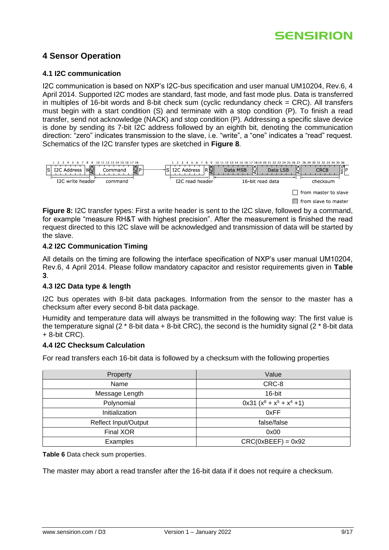### <span id="page-8-0"></span>**4 Sensor Operation**

#### <span id="page-8-1"></span>**4.1 I2C communication**

I2C communication is based on NXP's I2C-bus specification and user manual UM10204, Rev.6, 4 April 2014. Supported I2C modes are standard, fast mode, and fast mode plus. Data is transferred in multiples of 16-bit words and 8-bit check sum (cyclic redundancy check = CRC). All transfers must begin with a start condition (S) and terminate with a stop condition (P). To finish a read transfer, send not acknowledge (NACK) and stop condition (P). Addressing a specific slave device is done by sending its 7-bit I2C address followed by an eighth bit, denoting the communication direction: "zero" indicates transmission to the slave, i.e. "write", a "one" indicates a "read" request. Schematics of the I2C transfer types are sketched in **[Figure 8](#page-8-5)**.



<span id="page-8-5"></span>**Figure 8:** I2C transfer types: First a write header is sent to the I2C slave, followed by a command, for example "measure RH&T with highest precision". After the measurement is finished the read request directed to this I2C slave will be acknowledged and transmission of data will be started by the slave.

#### <span id="page-8-2"></span>**4.2 I2C Communication Timing**

All details on the timing are following the interface specification of NXP's user manual UM10204, Rev.6, 4 April 2014. Please follow mandatory capacitor and resistor requirements given in **[Table](#page-6-1)  [3](#page-6-1)**.

### <span id="page-8-3"></span>**4.3 I2C Data type & length**

I2C bus operates with 8-bit data packages. Information from the sensor to the master has a checksum after every second 8-bit data package.

Humidity and temperature data will always be transmitted in the following way: The first value is the temperature signal (2 \* 8-bit data + 8-bit CRC), the second is the humidity signal (2 \* 8-bit data + 8-bit CRC).

#### <span id="page-8-4"></span>**4.4 I2C Checksum Calculation**

For read transfers each 16-bit data is followed by a checksum with the following properties

| Property                    | Value                        |
|-----------------------------|------------------------------|
| Name                        | CRC-8                        |
| Message Length              | 16-bit                       |
| Polynomial                  | $0x31 (x^8 + x^5 + x^4 + 1)$ |
| Initialization              | 0xFF                         |
| <b>Reflect Input/Output</b> | false/false                  |
| Final XOR                   | 0x00                         |
| Examples                    | $CRC(0xBEEF) = 0x92$         |

**Table 6** Data check sum properties.

The master may abort a read transfer after the 16-bit data if it does not require a checksum.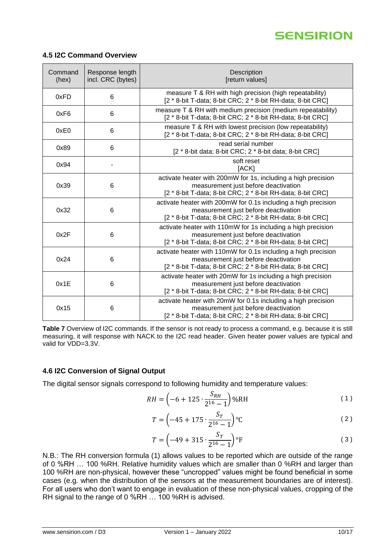

#### <span id="page-9-0"></span>**4.5 I2C Command Overview**

| Command<br>(hex) | Response length<br>incl. CRC (bytes) | Description<br>[return values]                                                                                                                                        |
|------------------|--------------------------------------|-----------------------------------------------------------------------------------------------------------------------------------------------------------------------|
| 0xFD             | 6                                    | measure T & RH with high precision (high repeatability)<br>[2 * 8-bit T-data; 8-bit CRC; 2 * 8-bit RH-data; 8-bit CRC]                                                |
| 0xF6             | 6                                    | measure T & RH with medium precision (medium repeatability)<br>[2 * 8-bit T-data; 8-bit CRC; 2 * 8-bit RH-data; 8-bit CRC]                                            |
| 0xE0             | 6                                    | measure T & RH with lowest precision (low repeatability)<br>[2 * 8-bit T-data; 8-bit CRC; 2 * 8-bit RH-data; 8-bit CRC]                                               |
| 0x89             | 6                                    | read serial number<br>[2 * 8-bit data; 8-bit CRC; 2 * 8-bit data; 8-bit CRC]                                                                                          |
| 0x94             |                                      | soft reset<br>[ACK]                                                                                                                                                   |
| 0x39             | 6                                    | activate heater with 200mW for 1s, including a high precision<br>measurement just before deactivation<br>[2 * 8-bit T-data; 8-bit CRC; 2 * 8-bit RH-data; 8-bit CRC]  |
| 0x32             | 6                                    | activate heater with 200mW for 0.1s including a high precision<br>measurement just before deactivation<br>[2 * 8-bit T-data; 8-bit CRC; 2 * 8-bit RH-data; 8-bit CRC] |
| 0x2F             | 6                                    | activate heater with 110mW for 1s including a high precision<br>measurement just before deactivation<br>[2 * 8-bit T-data; 8-bit CRC; 2 * 8-bit RH-data; 8-bit CRC]   |
| 0x24             | 6                                    | activate heater with 110mW for 0.1s including a high precision<br>measurement just before deactivation<br>[2 * 8-bit T-data; 8-bit CRC; 2 * 8-bit RH-data; 8-bit CRC] |
| 0x1E             | 6                                    | activate heater with 20mW for 1s including a high precision<br>measurement just before deactivation<br>[2 * 8-bit T-data; 8-bit CRC; 2 * 8-bit RH-data; 8-bit CRC]    |
| 0x15             | 6                                    | activate heater with 20mW for 0.1s including a high precision<br>measurement just before deactivation<br>[2 * 8-bit T-data; 8-bit CRC; 2 * 8-bit RH-data; 8-bit CRC]  |

<span id="page-9-5"></span>**Table 7** Overview of I2C commands. If the sensor is not ready to process a command, e.g. because it is still measuring, it will response with NACK to the I2C read header. Given heater power values are typical and valid for VDD=3.3V.

#### <span id="page-9-1"></span>**4.6 I2C Conversion of Signal Output**

The digital sensor signals correspond to following humidity and temperature values:

$$
RH = \left(-6 + 125 \cdot \frac{S_{RH}}{2^{16} - 1}\right) \% RH
$$
 (1)

<span id="page-9-3"></span><span id="page-9-2"></span>
$$
T = \left(-45 + 175 \cdot \frac{S_T}{2^{16} - 1}\right) \,^{\circ}\mathrm{C}
$$

<span id="page-9-4"></span>
$$
T = \left(-49 + 315 \cdot \frac{S_T}{2^{16} - 1}\right) \, \text{°F} \tag{3}
$$

N.B.: The RH conversion formula (1) allows values to be reported which are outside of the range of 0 %RH … 100 %RH. Relative humidity values which are smaller than 0 %RH and larger than 100 %RH are non-physical, however these "uncropped" values might be found beneficial in some cases (e.g. when the distribution of the sensors at the measurement boundaries are of interest). For all users who don't want to engage in evaluation of these non-physical values, cropping of the RH signal to the range of 0 %RH … 100 %RH is advised.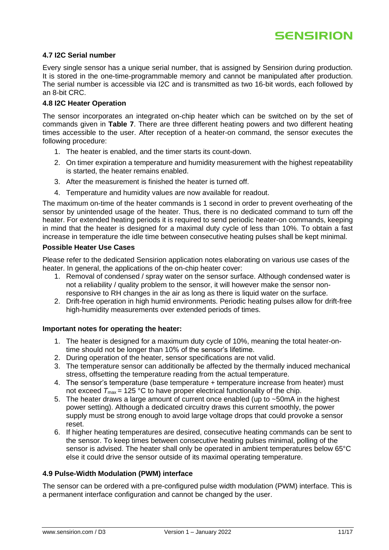

#### <span id="page-10-0"></span>**4.7 I2C Serial number**

Every single sensor has a unique serial number, that is assigned by Sensirion during production. It is stored in the one-time-programmable memory and cannot be manipulated after production. The serial number is accessible via I2C and is transmitted as two 16-bit words, each followed by an 8-bit CRC.

### <span id="page-10-1"></span>**4.8 I2C Heater Operation**

The sensor incorporates an integrated on-chip heater which can be switched on by the set of commands given in **[Table 7](#page-9-5)**. There are three different heating powers and two different heating times accessible to the user. After reception of a heater-on command, the sensor executes the following procedure:

- 1. The heater is enabled, and the timer starts its count-down.
- 2. On timer expiration a temperature and humidity measurement with the highest repeatability is started, the heater remains enabled.
- 3. After the measurement is finished the heater is turned off.
- 4. Temperature and humidity values are now available for readout.

The maximum on-time of the heater commands is 1 second in order to prevent overheating of the sensor by unintended usage of the heater. Thus, there is no dedicated command to turn off the heater. For extended heating periods it is required to send periodic heater-on commands, keeping in mind that the heater is designed for a maximal duty cycle of less than 10%. To obtain a fast increase in temperature the idle time between consecutive heating pulses shall be kept minimal.

#### **Possible Heater Use Cases**

Please refer to the dedicated Sensirion application notes elaborating on various use cases of the heater. In general, the applications of the on-chip heater cover:

- 1. Removal of condensed / spray water on the sensor surface. Although condensed water is not a reliability / quality problem to the sensor, it will however make the sensor nonresponsive to RH changes in the air as long as there is liquid water on the surface.
- 2. Drift-free operation in high humid environments. Periodic heating pulses allow for drift-free high-humidity measurements over extended periods of times.

#### **Important notes for operating the heater:**

- 1. The heater is designed for a maximum duty cycle of 10%, meaning the total heater-ontime should not be longer than 10% of the sensor's lifetime.
- 2. During operation of the heater, sensor specifications are not valid.
- 3. The temperature sensor can additionally be affected by the thermally induced mechanical stress, offsetting the temperature reading from the actual temperature.
- 4. The sensor's temperature (base temperature + temperature increase from heater) must not exceed  $T_{\text{max}}$  = 125 °C to have proper electrical functionality of the chip.
- 5. The heater draws a large amount of current once enabled (up to ~50mA in the highest power setting). Although a dedicated circuitry draws this current smoothly, the power supply must be strong enough to avoid large voltage drops that could provoke a sensor reset.
- 6. If higher heating temperatures are desired, consecutive heating commands can be sent to the sensor. To keep times between consecutive heating pulses minimal, polling of the sensor is advised. The heater shall only be operated in ambient temperatures below 65°C else it could drive the sensor outside of its maximal operating temperature.

#### <span id="page-10-2"></span>**4.9 Pulse-Width Modulation (PWM) interface**

The sensor can be ordered with a pre-configured pulse width modulation (PWM) interface. This is a permanent interface configuration and cannot be changed by the user.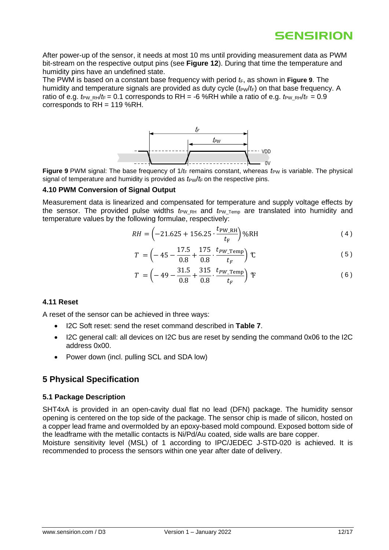After power-up of the sensor, it needs at most 10 ms until providing measurement data as PWM bit-stream on the respective output pins (see **[Figure 12](#page-13-4)**). During that time the temperature and humidity pins have an undefined state.

The PWM is based on a constant base frequency with period  $t_F$ , as shown in **[Figure 9](#page-11-4)**. The humidity and temperature signals are provided as duty cycle ( $t_{PW}/t_F$ ) on that base frequency. A ratio of e.g.  $t_{PW-RH}/t_F = 0.1$  corresponds to RH = -6 %RH while a ratio of e.g.  $t_{PW-RH}/t_F = 0.9$ corresponds to RH = 119 %RH.



<span id="page-11-4"></span>**Figure 9** PWM signal: The base frequency of  $1/t$  remains constant, whereas  $t_{PW}$  is variable. The physical signal of temperature and humidity is provided as  $t_{PW}/t_F$  on the respective pins.

#### <span id="page-11-0"></span>**4.10 PWM Conversion of Signal Output**

Measurement data is linearized and compensated for temperature and supply voltage effects by the sensor. The provided pulse widths  $t_{PW_RH}$  and  $t_{PWTemp}$  are translated into humidity and temperature values by the following formulae, respectively:

$$
RH = \left(-21.625 + 156.25 \cdot \frac{t_{\text{PW\_RH}}}{t_{\text{F}}}\right) \% RH
$$
 (4)

$$
T = \left(-45 - \frac{17.5}{0.8} + \frac{175}{0.8} \cdot \frac{t_{PW\text{-Temp}}}{t_F}\right) \mathcal{C}
$$
 (5)

$$
T = \left(-49 - \frac{31.5}{0.8} + \frac{315}{0.8} \cdot \frac{t_{PW\text{-Temp}}}{t_F}\right) \, \text{F} \tag{6}
$$

#### <span id="page-11-1"></span>**4.11 Reset**

A reset of the sensor can be achieved in three ways:

- I2C Soft reset: send the reset command described in **[Table 7](#page-9-5)**.
- I2C general call: all devices on I2C bus are reset by sending the command 0x06 to the I2C address 0x00.
- Power down (incl. pulling SCL and SDA low)

### <span id="page-11-2"></span>**5 Physical Specification**

#### <span id="page-11-3"></span>**5.1 Package Description**

SHT4xA is provided in an open-cavity dual flat no lead (DFN) package. The humidity sensor opening is centered on the top side of the package. The sensor chip is made of silicon, hosted on a copper lead frame and overmolded by an epoxy-based mold compound. Exposed bottom side of the leadframe with the metallic contacts is Ni/Pd/Au coated, side walls are bare copper. Moisture sensitivity level (MSL) of 1 according to IPC/JEDEC J-STD-020 is achieved. It is

recommended to process the sensors within one year after date of delivery.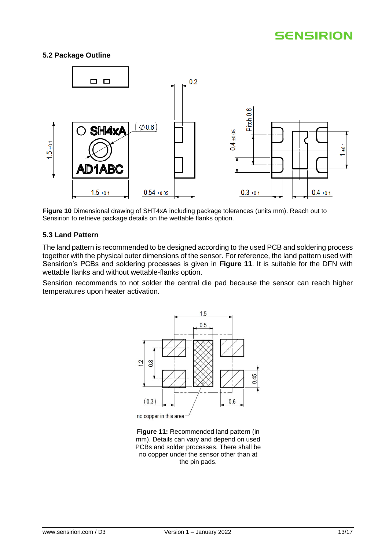#### <span id="page-12-0"></span>**5.2 Package Outline**



**Figure 10** Dimensional drawing of SHT4xA including package tolerances (units mm). Reach out to Sensirion to retrieve package details on the wettable flanks option.

#### <span id="page-12-1"></span>**5.3 Land Pattern**

The land pattern is recommended to be designed according to the used PCB and soldering process together with the physical outer dimensions of the sensor. For reference, the land pattern used with Sensirion's PCBs and soldering processes is given in **[Figure 11](#page-12-2)**. It is suitable for the DFN with wettable flanks and without wettable-flanks option.

Sensirion recommends to not solder the central die pad because the sensor can reach higher temperatures upon heater activation.



no copper in this area

<span id="page-12-2"></span>**Figure 11:** Recommended land pattern (in mm). Details can vary and depend on used PCB<sub>s</sub> and solder processes. There shall be no copper under the sensor other than at the pin pads.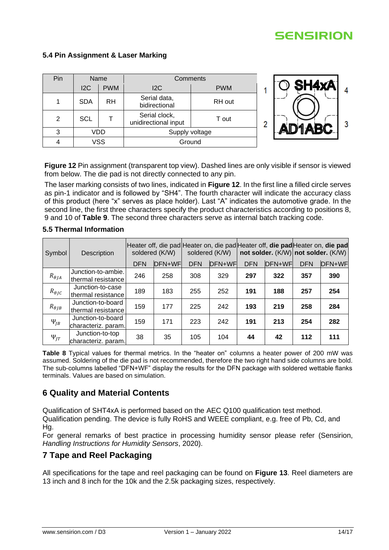#### <span id="page-13-0"></span>**5.4 Pin Assignment & Laser Marking**

| Pin           | Name       |            | Comments                              |            |  |
|---------------|------------|------------|---------------------------------------|------------|--|
|               | 12C        | <b>PWM</b> | 12C                                   | <b>PWM</b> |  |
|               | <b>SDA</b> | <b>RH</b>  | Serial data,<br>bidirectional         | RH out     |  |
| $\mathcal{P}$ | <b>SCL</b> |            | Serial clock,<br>unidirectional input | T out      |  |
| 3             | VDD        |            | Supply voltage                        |            |  |
|               | ∨SS        |            | Ground                                |            |  |



<span id="page-13-4"></span>**Figure 12** Pin assignment (transparent top view). Dashed lines are only visible if sensor is viewed from below. The die pad is not directly connected to any pin.

The laser marking consists of two lines, indicated in **[Figure 12](#page-13-4)**. In the first line a filled circle serves as pin-1 indicator and is followed by "SH4". The fourth character will indicate the accuracy class of this product (here "x" serves as place holder). Last "A" indicates the automotive grade. In the second line, the first three characters specify the product characteristics according to positions 8, 9 and 10 of **[Table 9](#page-14-1)**. The second three characters serve as internal batch tracking code.

#### Symbol Description Heater off, die pad Heater on, die pad Heater off, **die pad** Heater on, **die pad** soldered (K/W) soldered (K/W) **not solder.** (K/W) **not solder.** (K/W) DFN DFN+WF DFN DFN+WF DFN DFN+WF DFN DFN+WF  $R_{\theta JA}$ Junction-to-ambie. thermal resistance <sup>246</sup> <sup>258</sup> <sup>308</sup> <sup>329</sup> **<sup>297</sup> <sup>322</sup> <sup>357</sup> <sup>390</sup>**  $R_{\theta IC}$ Junction-to-case thermal resistance <sup>189</sup> <sup>183</sup> <sup>255</sup> <sup>252</sup> **<sup>191</sup> <sup>188</sup> <sup>257</sup> <sup>254</sup>**  $R_{\theta J B}$ Junction-to-board thermal resistance <sup>159</sup> <sup>177</sup> <sup>225</sup> <sup>242</sup> **<sup>193</sup> <sup>219</sup> <sup>258</sup> <sup>284</sup>**  $\Psi_{IB}$ Junction-to-board characteriz. param. 159 171 223 242 **191 213 254 282**  $\Psi_{IT}$ Junction-to-top characteriz. param. 38 35 105 104 **44 42 112 111**

#### <span id="page-13-1"></span>**5.5 Thermal Information**

<span id="page-13-5"></span>**Table 8** Typical values for thermal metrics. In the "heater on" columns a heater power of 200 mW was assumed. Soldering of the die pad is not recommended, therefore the two right hand side columns are bold. The sub-columns labelled "DFN+WF" display the results for the DFN package with soldered wettable flanks terminals. Values are based on simulation.

### <span id="page-13-2"></span>**6 Quality and Material Contents**

Qualification of SHT4xA is performed based on the AEC Q100 qualification test method. Qualification pending. The device is fully RoHS and WEEE compliant, e.g. free of Pb, Cd, and Hg.

For general remarks of best practice in processing humidity sensor please refer (Sensirion, *Handling Instructions for Humidity Sensors*, 2020).

### <span id="page-13-3"></span>**7 Tape and Reel Packaging**

All specifications for the tape and reel packaging can be found on **[Figure 13](#page-14-2)**. Reel diameters are 13 inch and 8 inch for the 10k and the 2.5k packaging sizes, respectively.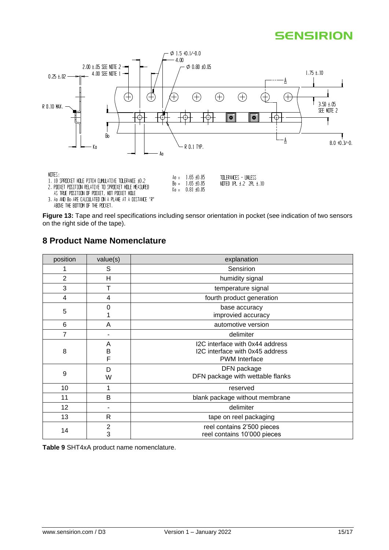

<span id="page-14-2"></span>**Figure 13:** Tape and reel specifications including sensor orientation in pocket (see indication of two sensors on the right side of the tape).

### <span id="page-14-0"></span>**8 Product Name Nomenclature**

| position       | value(s)          | explanation                                                                                |
|----------------|-------------------|--------------------------------------------------------------------------------------------|
|                | S                 | Sensirion                                                                                  |
| $\overline{2}$ | н                 | humidity signal                                                                            |
| 3              | т                 | temperature signal                                                                         |
| 4              | 4                 | fourth product generation                                                                  |
| 5              | 0                 | base accuracy<br>improvied accuracy                                                        |
| 6              | A                 | automotive version                                                                         |
| 7              |                   | delimiter                                                                                  |
| 8              | Α<br>B<br>F       | I2C interface with 0x44 address<br>I2C interface with 0x45 address<br><b>PWM</b> Interface |
| 9              | D<br>W            | DFN package<br>DFN package with wettable flanks                                            |
| 10             |                   | reserved                                                                                   |
| 11             | B                 | blank package without membrane                                                             |
| 12             |                   | delimiter                                                                                  |
| 13             | $\mathsf{R}$      | tape on reel packaging                                                                     |
| 14             | $\mathbf{2}$<br>3 | reel contains 2'500 pieces<br>reel contains 10'000 pieces                                  |

<span id="page-14-1"></span>**Table 9** SHT4xA product name nomenclature.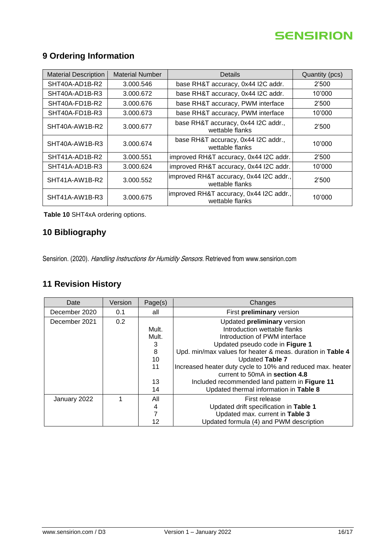# <span id="page-15-0"></span>**9 Ordering Information**

| <b>Material Description</b> | <b>Material Number</b> | Details                                                    | Quantity (pcs) |
|-----------------------------|------------------------|------------------------------------------------------------|----------------|
| SHT40A-AD1B-R2              | 3.000.546              | base RH&T accuracy, 0x44 I2C addr.                         | 2'500          |
| SHT40A-AD1B-R3              | 3.000.672              | base RH&T accuracy, 0x44 I2C addr.                         | 10'000         |
| SHT40A-FD1B-R2              | 3.000.676              | base RH&T accuracy, PWM interface                          | 2'500          |
| SHT40A-FD1B-R3              | 3.000.673              | base RH&T accuracy, PWM interface                          | 10'000         |
| SHT40A-AW1B-R2              | 3.000.677              | base RH&T accuracy, 0x44 I2C addr.,<br>wettable flanks     | 2'500          |
| SHT40A-AW1B-R3              | 3.000.674              | base RH&T accuracy, 0x44 I2C addr.,<br>wettable flanks     | 10'000         |
| SHT41A-AD1B-R2              | 3.000.551              | improved RH&T accuracy, 0x44 I2C addr.                     | 2'500          |
| SHT41A-AD1B-R3              | 3.000.624              | improved RH&T accuracy, 0x44 I2C addr.                     | 10'000         |
| SHT41A-AW1B-R2              | 3.000.552              | improved RH&T accuracy, 0x44 I2C addr.,<br>wettable flanks | 2'500          |
| SHT41A-AW1B-R3              | 3.000.675              | improved RH&T accuracy, 0x44 I2C addr.,<br>wettable flanks | 10'000         |

**Table 10** SHT4xA ordering options.

### <span id="page-15-1"></span>**10 Bibliography**

Sensirion. (2020). Handling Instructions for Humidity Sensors. Retrieved from www.sensirion.com

# <span id="page-15-2"></span>**11 Revision History**

| Date          | Version | Page(s) | Changes                                                    |
|---------------|---------|---------|------------------------------------------------------------|
| December 2020 | 0.1     | all     | First preliminary version                                  |
| December 2021 | 0.2     |         | Updated preliminary version                                |
|               |         | Mult.   | Introduction wettable flanks                               |
|               |         | Mult.   | Introduction of PWM interface                              |
|               |         | З       | Updated pseudo code in Figure 1                            |
|               |         | 8       | Upd. min/max values for heater & meas. duration in Table 4 |
|               |         | 10      | Updated Table 7                                            |
|               |         | 11      | Increased heater duty cycle to 10% and reduced max. heater |
|               |         |         | current to 50mA in section 4.8                             |
|               |         | 13      | Included recommended land pattern in Figure 11             |
|               |         | 14      | Updated thermal information in Table 8                     |
| January 2022  |         | All     | First release                                              |
|               |         | 4       | Updated drift specification in Table 1                     |
|               |         |         | Updated max. current in Table 3                            |
|               |         | 12      | Updated formula (4) and PWM description                    |